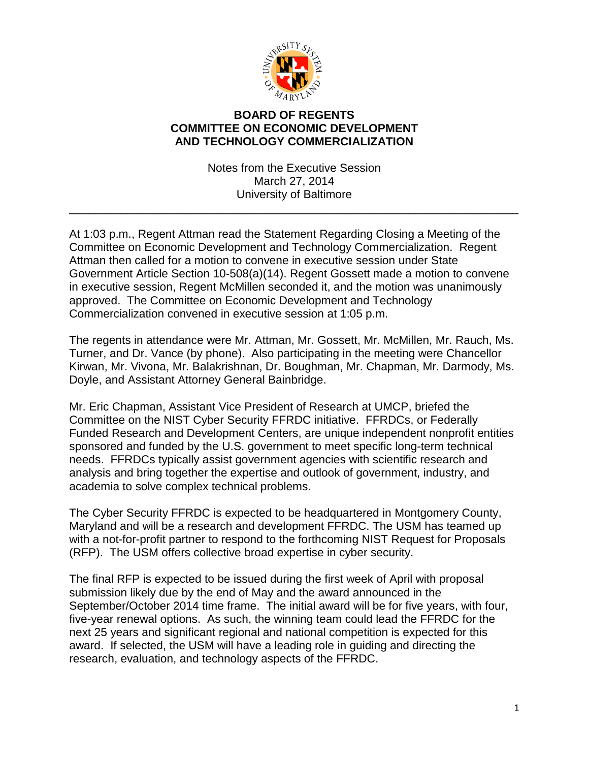

## **BOARD OF REGENTS COMMITTEE ON ECONOMIC DEVELOPMENT AND TECHNOLOGY COMMERCIALIZATION**

Notes from the Executive Session March 27, 2014 University of Baltimore

\_\_\_\_\_\_\_\_\_\_\_\_\_\_\_\_\_\_\_\_\_\_\_\_\_\_\_\_\_\_\_\_\_\_\_\_\_\_\_\_\_\_\_\_\_\_\_\_\_\_\_\_\_\_\_\_\_\_\_\_\_\_\_\_\_\_\_\_\_\_

At 1:03 p.m., Regent Attman read the Statement Regarding Closing a Meeting of the Committee on Economic Development and Technology Commercialization. Regent Attman then called for a motion to convene in executive session under State Government Article Section 10-508(a)(14). Regent Gossett made a motion to convene in executive session, Regent McMillen seconded it, and the motion was unanimously approved. The Committee on Economic Development and Technology Commercialization convened in executive session at 1:05 p.m.

The regents in attendance were Mr. Attman, Mr. Gossett, Mr. McMillen, Mr. Rauch, Ms. Turner, and Dr. Vance (by phone). Also participating in the meeting were Chancellor Kirwan, Mr. Vivona, Mr. Balakrishnan, Dr. Boughman, Mr. Chapman, Mr. Darmody, Ms. Doyle, and Assistant Attorney General Bainbridge.

Mr. Eric Chapman, Assistant Vice President of Research at UMCP, briefed the Committee on the NIST Cyber Security FFRDC initiative. FFRDCs, or Federally Funded Research and Development Centers, are unique independent nonprofit entities sponsored and funded by the U.S. government to meet specific long-term technical needs. FFRDCs typically assist government agencies with scientific research and analysis and bring together the expertise and outlook of government, industry, and academia to solve complex technical problems.

The Cyber Security FFRDC is expected to be headquartered in Montgomery County, Maryland and will be a research and development FFRDC. The USM has teamed up with a not-for-profit partner to respond to the forthcoming NIST Request for Proposals (RFP). The USM offers collective broad expertise in cyber security.

The final RFP is expected to be issued during the first week of April with proposal submission likely due by the end of May and the award announced in the September/October 2014 time frame. The initial award will be for five years, with four, five-year renewal options. As such, the winning team could lead the FFRDC for the next 25 years and significant regional and national competition is expected for this award. If selected, the USM will have a leading role in guiding and directing the research, evaluation, and technology aspects of the FFRDC.